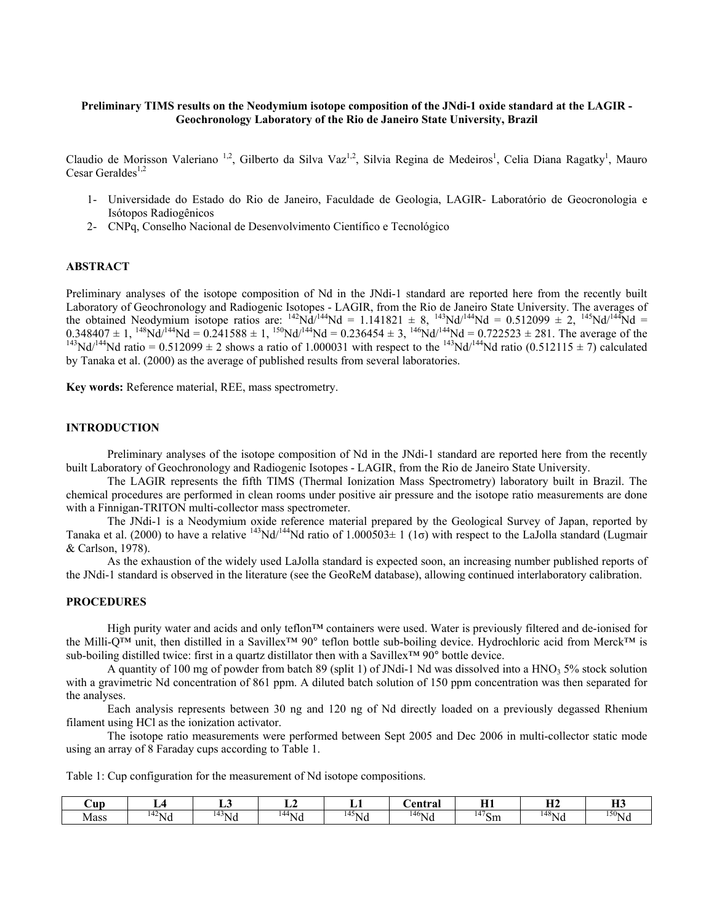### **Preliminary TIMS results on the Neodymium isotope composition of the JNdi-1 oxide standard at the LAGIR - Geochronology Laboratory of the Rio de Janeiro State University, Brazil**

Claudio de Morisson Valeriano<sup>1,2</sup>, Gilberto da Silva Vaz<sup>1,2</sup>, Silvia Regina de Medeiros<sup>1</sup>, Celia Diana Ragatky<sup>1</sup>, Mauro Cesar Geraldes $^{1,2}$ 

- 1- Universidade do Estado do Rio de Janeiro, Faculdade de Geologia, LAGIR- Laboratório de Geocronologia e Isótopos Radiogênicos
- 2- CNPq, Conselho Nacional de Desenvolvimento Científico e Tecnológico

#### **ABSTRACT**

Preliminary analyses of the isotope composition of Nd in the JNdi-1 standard are reported here from the recently built Laboratory of Geochronology and Radiogenic Isotopes - LAGIR, from the Rio de Janeiro State University. The averages of the obtained Neodymium isotope ratios are:  $^{142}Nd^{144}Nd = 1.141821 \pm 8$ ,  $^{143}Nd^{144}Nd = 0.512099 \pm 2$ ,  $^{145}Nd^{144}Nd =$  $0.348407 \pm 1$ ,  $^{148}$ Nd/<sup>144</sup>Nd =  $0.241588 \pm 1$ ,  $^{150}$ Nd/<sup>144</sup>Nd =  $0.236454 \pm 3$ ,  $^{146}$ Nd/<sup>144</sup>Nd =  $0.722523 \pm 281$ . The average of the  $^{143}$ Nd/<sup>144</sup>Nd ratio =  $0.512099 \pm 2$  shows a ratio of 1.000031 with resp by Tanaka et al. (2000) as the average of published results from several laboratories.

**Key words:** Reference material, REE, mass spectrometry.

#### **INTRODUCTION**

Preliminary analyses of the isotope composition of Nd in the JNdi-1 standard are reported here from the recently built Laboratory of Geochronology and Radiogenic Isotopes - LAGIR, from the Rio de Janeiro State University.

The LAGIR represents the fifth TIMS (Thermal Ionization Mass Spectrometry) laboratory built in Brazil. The chemical procedures are performed in clean rooms under positive air pressure and the isotope ratio measurements are done with a Finnigan-TRITON multi-collector mass spectrometer.

 The JNdi-1 is a Neodymium oxide reference material prepared by the Geological Survey of Japan, reported by Tanaka et al. (2000) to have a relative  $^{143}Nd^{144}Nd$  ratio of  $1.000503±1$  (1 $\sigma$ ) with respect to the LaJolla standard (Lugmair & Carlson, 1978).

As the exhaustion of the widely used LaJolla standard is expected soon, an increasing number published reports of the JNdi-1 standard is observed in the literature (see the GeoReM database), allowing continued interlaboratory calibration.

### **PROCEDURES**

High purity water and acids and only teflon™ containers were used. Water is previously filtered and de-ionised for the Milli-Q™ unit, then distilled in a Savillex™ 90° teflon bottle sub-boiling device. Hydrochloric acid from Merck™ is sub-boiling distilled twice: first in a quartz distillator then with a Savillex™ 90° bottle device.

A quantity of 100 mg of powder from batch 89 (split 1) of JNdi-1 Nd was dissolved into a HNO<sub>3</sub> 5% stock solution with a gravimetric Nd concentration of 861 ppm. A diluted batch solution of 150 ppm concentration was then separated for the analyses.

Each analysis represents between 30 ng and 120 ng of Nd directly loaded on a previously degassed Rhenium filament using HCl as the ionization activator.

The isotope ratio measurements were performed between Sept 2005 and Dec 2006 in multi-collector static mode using an array of 8 Faraday cups according to Table 1.

Table 1: Cup configuration for the measurement of Nd isotope compositions.

| ∪up  |             | ∸                            | ┻           |                      | `entral     | <b>TTA</b><br>               | <b>TTA</b><br> | $\mathbf{v}$<br> |
|------|-------------|------------------------------|-------------|----------------------|-------------|------------------------------|----------------|------------------|
| Mass | $T_{42}$ Nu | $\sim$<br>$\sqrt{14}$<br>™Nu | $N_{\rm H}$ | $\frac{145}{145}$ Nu | $^{146}$ Nu | - 77<br>$^{\prime\prime}$ Sm | $^{148}$ Na    | $^{150}$ Nu      |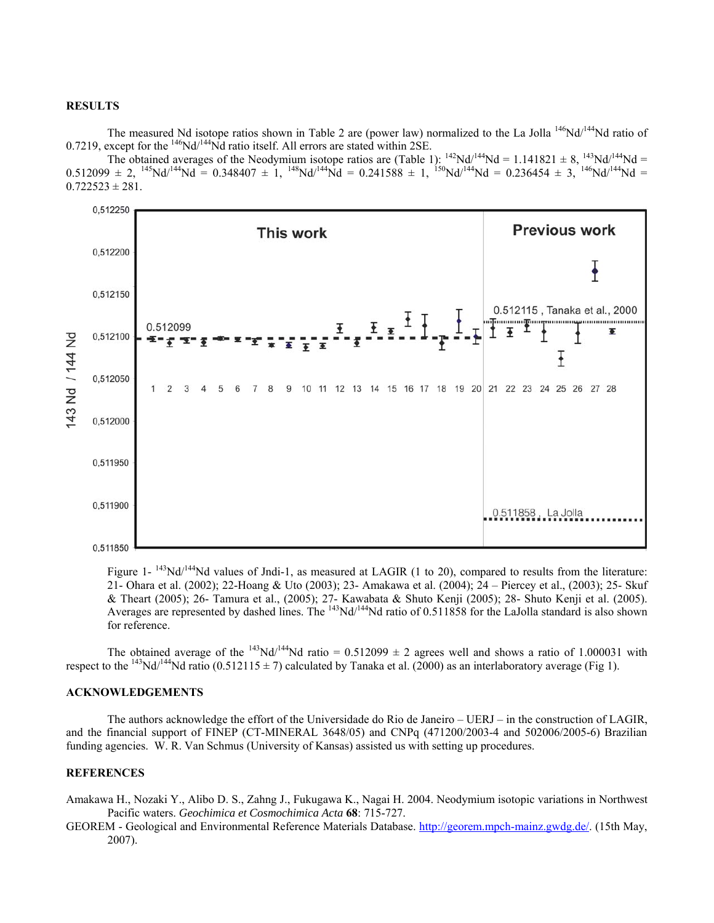## **RESULTS**

The measured Nd isotope ratios shown in Table 2 are (power law) normalized to the La Jolla<sup>146</sup>Nd/<sup>144</sup>Nd ratio of 0.7219, except for the  $^{146}$ Nd/ $^{144}$ Nd ratio itself. All errors are stated within 2SE.

The obtained averages of the Neodymium isotope ratios are (Table 1):  $^{142}Nd^{144}Nd = 1.141821 \pm 8$ ,  $^{143}Nd^{144}Nd =$  $0.512099 \pm 2$ ,  $^{145}Nd^{144}Nd = 0.348407 \pm 1$ ,  $^{148}Nd^{144}Nd = 0.241588 \pm 1$ ,  $^{150}Nd^{144}Nd = 0.236454 \pm 3$ ,  $^{146}Nd^{144}Nd =$  $0.722523 \pm 281$ .



Figure 1-  $^{143}$ Nd/<sup>144</sup>Nd values of Jndi-1, as measured at LAGIR (1 to 20), compared to results from the literature: 21- Ohara et al. (2002); 22-Hoang & Uto (2003); 23- Amakawa et al. (2004); 24 – Piercey et al., (2003); 25- Skuf & Theart (2005); 26- Tamura et al., (2005); 27- Kawabata & Shuto Kenji (2005); 28- Shuto Kenji et al. (2005). Averages are represented by dashed lines. The <sup>143</sup>Nd<sup>144</sup>Nd ratio of 0.511858 for the LaJolla standard is also shown for reference.

The obtained average of the <sup>143</sup>Nd/<sup>144</sup>Nd ratio = 0.512099  $\pm$  2 agrees well and shows a ratio of 1.000031 with respect to the <sup>143</sup>Nd/<sup>144</sup>Nd ratio (0.512115  $\pm$  7) calculated by Tanaka et al. (2000) as an interlaboratory average (Fig 1).

# **ACKNOWLEDGEMENTS**

The authors acknowledge the effort of the Universidade do Rio de Janeiro – UERJ – in the construction of LAGIR, and the financial support of FINEP (CT-MINERAL 3648/05) and CNPq (471200/2003-4 and 502006/2005-6) Brazilian funding agencies. W. R. Van Schmus (University of Kansas) assisted us with setting up procedures.

### **REFERENCES**

- Amakawa H., Nozaki Y., Alibo D. S., Zahng J., Fukugawa K., Nagai H. 2004. Neodymium isotopic variations in Northwest Pacific waters. *Geochimica et Cosmochimica Acta* **68**: 715-727.
- GEOREM Geological and Environmental Reference Materials Database. <http://georem.mpch-mainz.gwdg.de/>. (15th May, 2007).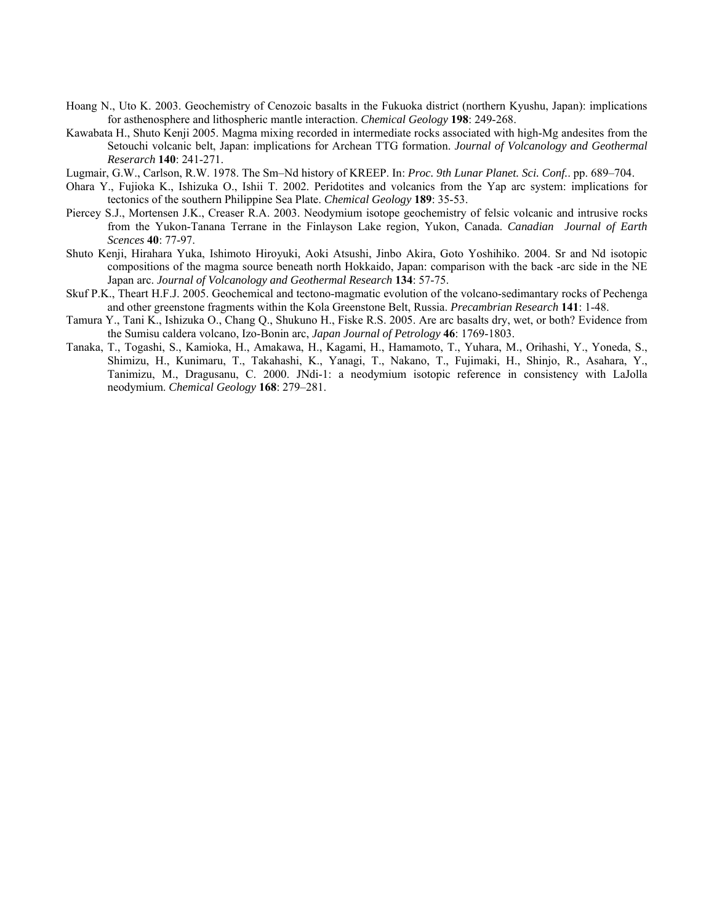- Hoang N., Uto K. 2003. Geochemistry of Cenozoic basalts in the Fukuoka district (northern Kyushu, Japan): implications for asthenosphere and lithospheric mantle interaction. *Chemical Geology* **198**: 249-268.
- Kawabata H., Shuto Kenji 2005. Magma mixing recorded in intermediate rocks associated with high-Mg andesites from the Setouchi volcanic belt, Japan: implications for Archean TTG formation. *Journal of Volcanology and Geothermal Reserarch* **140**: 241-271.

Lugmair, G.W., Carlson, R.W. 1978. The Sm–Nd history of KREEP. In: *Proc. 9th Lunar Planet. Sci. Conf.*. pp. 689–704.

- Ohara Y., Fujioka K., Ishizuka O., Ishii T. 2002. Peridotites and volcanics from the Yap arc system: implications for tectonics of the southern Philippine Sea Plate. *Chemical Geology* **189**: 35-53.
- Piercey S.J., Mortensen J.K., Creaser R.A. 2003. Neodymium isotope geochemistry of felsic volcanic and intrusive rocks from the Yukon-Tanana Terrane in the Finlayson Lake region, Yukon, Canada. *Canadian Journal of Earth Scences* **40**: 77-97.
- Shuto Kenji, Hirahara Yuka, Ishimoto Hiroyuki, Aoki Atsushi, Jinbo Akira, Goto Yoshihiko. 2004. Sr and Nd isotopic compositions of the magma source beneath north Hokkaido, Japan: comparison with the back -arc side in the NE Japan arc. *Journal of Volcanology and Geothermal Research* **134**: 57-75.
- Skuf P.K., Theart H.F.J. 2005. Geochemical and tectono-magmatic evolution of the volcano-sedimantary rocks of Pechenga and other greenstone fragments within the Kola Greenstone Belt, Russia. *Precambrian Research* **141**: 1-48.
- Tamura Y., Tani K., Ishizuka O., Chang Q., Shukuno H., Fiske R.S. 2005. Are arc basalts dry, wet, or both? Evidence from the Sumisu caldera volcano, Izo-Bonin arc, *Japan Journal of Petrology* **46**: 1769-1803.
- Tanaka, T., Togashi, S., Kamioka, H., Amakawa, H., Kagami, H., Hamamoto, T., Yuhara, M., Orihashi, Y., Yoneda, S., Shimizu, H., Kunimaru, T., Takahashi, K., Yanagi, T., Nakano, T., Fujimaki, H., Shinjo, R., Asahara, Y., Tanimizu, M., Dragusanu, C. 2000. JNdi-1: a neodymium isotopic reference in consistency with LaJolla neodymium. *Chemical Geology* **168**: 279–281.